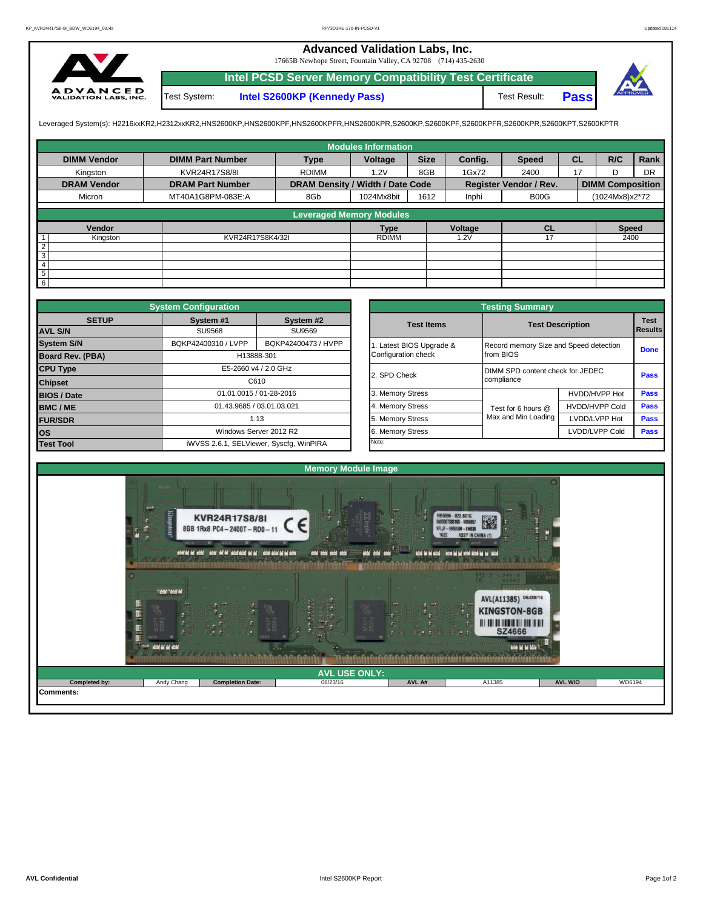## **Advanced Validation Labs, Inc.**

17665B Newhope Street, Fountain Valley, CA 92708 (714) 435-2630



**Intel PCSD Server Memory Compatibility Test Certificate Pass** Test System: **Intel S2600KP (Kennedy Pass)** Test Result:



Leveraged System(s): H2216xxKR2,H2312xxKR2,HNS2600KP,HNS2600KPF,HNS2600KPFR,HNS2600KPR,S2600KP,S2600KPF,S2600KPFR,S2600KPR,S2600KPT,S2600KPTR

|                    |                         |                                  | <b>Modules Information</b> |             |         |                               |           |                         |           |
|--------------------|-------------------------|----------------------------------|----------------------------|-------------|---------|-------------------------------|-----------|-------------------------|-----------|
| <b>DIMM Vendor</b> | <b>DIMM Part Number</b> | <b>Type</b>                      | Voltage                    | <b>Size</b> | Config. | <b>Speed</b>                  | <b>CL</b> | R/C                     | Rank      |
| Kingston           | KVR24R17S8/8I           | <b>RDIMM</b>                     | 1.2V                       | 8GB         | 1Gx72   | 2400                          | 17        | D                       | <b>DR</b> |
| <b>DRAM Vendor</b> | <b>DRAM Part Number</b> | DRAM Density / Width / Date Code |                            |             |         | Register Vendor / Rev.        |           | <b>DIMM Composition</b> |           |
| Micron             | MT40A1G8PM-083E:A       | 8Gb                              | 1024Mx8bit                 | 1612        | Inphi   | B <sub>0</sub> O <sub>G</sub> |           | (1024Mx8)x2*72          |           |
|                    |                         | <b>Leveraged Memory Modules</b>  |                            |             |         |                               |           |                         |           |
|                    |                         |                                  |                            |             |         |                               |           |                         |           |
| Vendor             |                         |                                  | <b>Type</b>                |             | Voltage | CL                            |           | <b>Speed</b>            |           |
| Kingston           | KVR24R17S8K4/32I        |                                  | <b>RDIMM</b>               |             | 1.2V    | 17                            |           | 2400                    |           |
| $rac{2}{3}$        |                         |                                  |                            |             |         |                               |           |                         |           |
|                    |                         |                                  |                            |             |         |                               |           |                         |           |
| $\overline{4}$     |                         |                                  |                            |             |         |                               |           |                         |           |
| $\overline{5}$     |                         |                                  |                            |             |         |                               |           |                         |           |
| $6\overline{6}$    |                         |                                  |                            |             |         |                               |           |                         |           |

|                         | <b>System Configuration</b> |                                         |              |                       | <b>Testing Summary</b>                 |                         |             |  |  |
|-------------------------|-----------------------------|-----------------------------------------|--------------|-----------------------|----------------------------------------|-------------------------|-------------|--|--|
| <b>SETUP</b>            | System #1                   | System #2                               |              | <b>Test Items</b>     |                                        | <b>Test Description</b> |             |  |  |
| <b>AVL S/N</b>          | SU9568                      | SU9569                                  |              |                       |                                        |                         |             |  |  |
| <b>System S/N</b>       | BQKP42400310 / LVPP         | BQKP42400473 / HVPP                     |              | Latest BIOS Upgrade & | Record memory Size and Speed detection |                         | <b>Done</b> |  |  |
| <b>Board Rev. (PBA)</b> |                             | H13888-301                              |              | Configuration check   | from BIOS                              |                         |             |  |  |
| <b>CPU Type</b>         | E5-2660 v4 / 2.0 GHz        |                                         | 2. SPD Check |                       | DIMM SPD content check for JEDEC       |                         |             |  |  |
| C610<br><b>Chipset</b>  |                             |                                         |              |                       | compliance                             |                         | Pass        |  |  |
| <b>BIOS / Date</b>      |                             | 01.01.0015 / 01-28-2016                 |              | 3. Memory Stress      |                                        | HVDD/HVPP Hot           | <b>Pass</b> |  |  |
| <b>BMC/ME</b>           |                             | 01.43.9685 / 03.01.03.021               |              | 4. Memory Stress      | Test for 6 hours @                     | <b>HVDD/HVPP Cold</b>   | <b>Pass</b> |  |  |
| <b>FUR/SDR</b>          | 1.13                        |                                         |              | 5. Memory Stress      | Max and Min Loading                    | LVDD/LVPP Hot           | <b>Pass</b> |  |  |
| <b>los</b>              |                             | Windows Server 2012 R2                  |              | 6. Memory Stress      |                                        | LVDD/LVPP Cold          |             |  |  |
| <b>Test Tool</b>        |                             | iWVSS 2.6.1, SELViewer, Syscfq, WinPIRA |              | Note:                 |                                        |                         |             |  |  |

|              | <b>System Configuration</b> |                                         |                       | <b>Testing Summary</b>           |                                        |                |  |  |
|--------------|-----------------------------|-----------------------------------------|-----------------------|----------------------------------|----------------------------------------|----------------|--|--|
| <b>SETUP</b> | System #1                   | System #2                               | <b>Test Items</b>     | <b>Test Description</b>          |                                        | <b>Test</b>    |  |  |
|              | <b>SU9568</b>               | SU9569                                  |                       |                                  |                                        | <b>Results</b> |  |  |
|              | BQKP42400310 / LVPP         | BQKP42400473 / HVPP                     | Latest BIOS Upgrade & |                                  | Record memory Size and Speed detection |                |  |  |
| PBA)         | H13888-301                  |                                         | Configuration check   | from BIOS                        |                                        |                |  |  |
|              |                             | E5-2660 v4 / 2.0 GHz                    |                       | DIMM SPD content check for JEDEC |                                        | Pass           |  |  |
|              |                             | C610                                    | 2. SPD Check          | compliance                       |                                        |                |  |  |
|              |                             | 01.01.0015 / 01-28-2016                 | 3. Memory Stress      |                                  | HVDD/HVPP Hot                          | Pass           |  |  |
|              | 01.43.9685 / 03.01.03.021   |                                         | 4. Memory Stress      | Test for 6 hours @               | <b>HVDD/HVPP Cold</b>                  | Pass           |  |  |
|              |                             | 1.13                                    | 5. Memory Stress      | Max and Min Loading              | LVDD/LVPP Hot                          | Pass           |  |  |
|              |                             | Windows Server 2012 R2                  |                       |                                  | LVDD/LVPP Cold                         | <b>Pass</b>    |  |  |
|              |                             | iWVSS 2.6.1, SELViewer, Syscfg, WinPIRA | Note:                 |                                  |                                        |                |  |  |